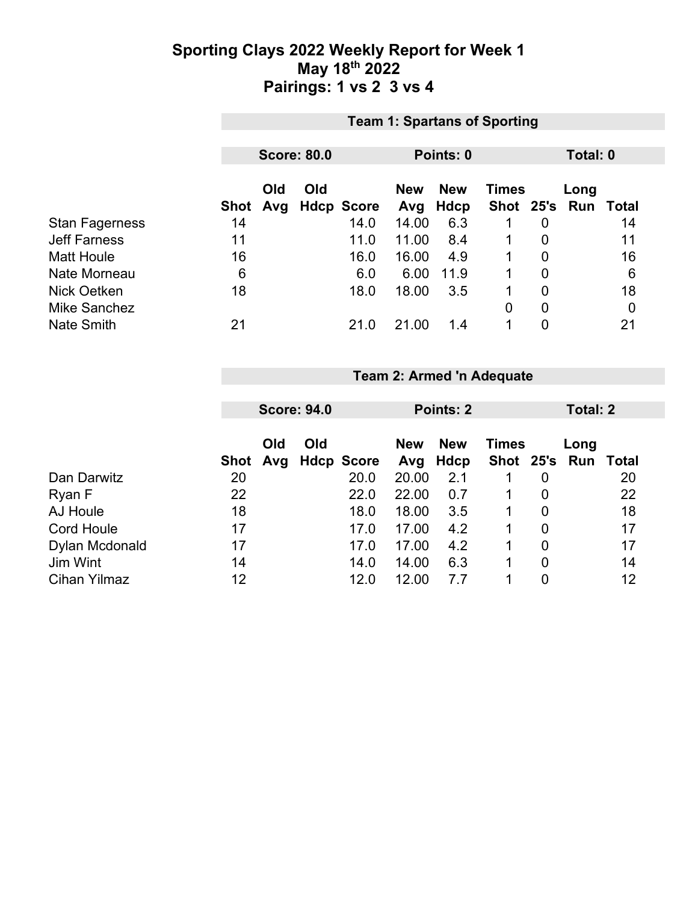### **Sporting Clays 2022 Weekly Report for Week 1 May 18th 2022 Pairings: 1 vs 2 3 vs 4**

|                       | <b>Team 1: Spartans of Sporting</b> |     |                    |                                          |       |           |                |                |  |       |
|-----------------------|-------------------------------------|-----|--------------------|------------------------------------------|-------|-----------|----------------|----------------|--|-------|
|                       |                                     |     |                    |                                          |       |           |                |                |  |       |
|                       |                                     |     | <b>Score: 80.0</b> |                                          |       | Points: 0 |                | Total: 0       |  |       |
|                       | Old<br>Old                          |     |                    | <b>New</b><br><b>Times</b><br><b>New</b> |       |           |                | Long           |  |       |
|                       | Shot                                | Avg |                    | <b>Hdcp Score</b>                        | Avg   | Hdcp      | Shot 25's Run  |                |  | Total |
| <b>Stan Fagerness</b> | 14                                  |     |                    | 14.0                                     | 14.00 | 6.3       |                | 0              |  | 14    |
| <b>Jeff Farness</b>   | 11                                  |     |                    | 11.0                                     | 11.00 | 8.4       |                | 0              |  | 11    |
| <b>Matt Houle</b>     | 16                                  |     |                    | 16.0                                     | 16.00 | 4.9       |                | 0              |  | 16    |
| Nate Morneau          | 6                                   |     |                    | 6.0                                      | 6.00  | 11.9      | 1              | $\overline{0}$ |  | 6     |
| Nick Oetken           | 18                                  |     |                    | 18.0                                     | 18.00 | 3.5       | 1              | $\overline{0}$ |  | 18    |
| <b>Mike Sanchez</b>   |                                     |     |                    |                                          |       |           | $\overline{0}$ | 0              |  | 0     |
| <b>Nate Smith</b>     | 21                                  |     |                    | 21.0                                     | 21.00 | 1.4       | 1              | 0              |  | 21    |

#### **Team 2: Armed 'n Adequate**

|                     |    | <b>Score: 94.0</b> |     |                   | Points: 2         |                    |              | Total: 2       |                             |    |
|---------------------|----|--------------------|-----|-------------------|-------------------|--------------------|--------------|----------------|-----------------------------|----|
|                     |    | Old<br>Shot Avg    | Old | <b>Hdcp Score</b> | <b>New</b><br>Avg | <b>New</b><br>Hdcp | <b>Times</b> |                | Long<br>Shot 25's Run Total |    |
| Dan Darwitz         | 20 |                    |     | 20.0              | 20.00             | 2.1                |              | 0              |                             | 20 |
| Ryan F              | 22 |                    |     | 22.0              | 22.00             | 0.7                |              | $\overline{0}$ |                             | 22 |
| AJ Houle            | 18 |                    |     | 18.0              | 18.00             | 3.5                |              | $\overline{0}$ |                             | 18 |
| <b>Cord Houle</b>   | 17 |                    |     | 17.0              | 17.00             | 4.2                |              | 0              |                             | 17 |
| Dylan Mcdonald      | 17 |                    |     | 17.0              | 17.00             | 4.2                |              | $\overline{0}$ |                             | 17 |
| Jim Wint            | 14 |                    |     | 14.0              | 14.00             | 6.3                |              | 0              |                             | 14 |
| <b>Cihan Yilmaz</b> | 12 |                    |     | 12.0              | 12.00             | 7.7                |              | 0              |                             | 12 |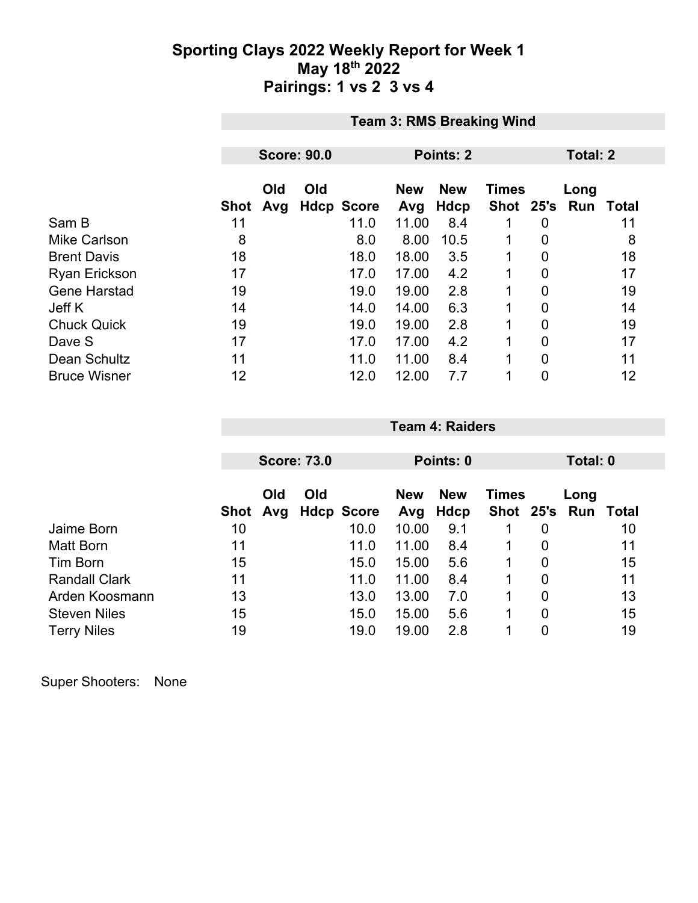### **Sporting Clays 2022 Weekly Report for Week 1 May 18th 2022 Pairings: 1 vs 2 3 vs 4**

|                      | <b>Team 3: RMS Breaking Wind</b> |            |     |                   |                   |                    |                           |          |             |       |
|----------------------|----------------------------------|------------|-----|-------------------|-------------------|--------------------|---------------------------|----------|-------------|-------|
|                      |                                  |            |     |                   |                   |                    |                           |          |             |       |
|                      | <b>Score: 90.0</b>               |            |     |                   |                   | Points: 2          |                           | Total: 2 |             |       |
|                      | <b>Shot</b>                      | Old<br>Avg | Old | <b>Hdcp Score</b> | <b>New</b><br>Avg | <b>New</b><br>Hdcp | <b>Times</b><br>Shot 25's |          | Long<br>Run | Total |
| Sam B                | 11                               |            |     | 11.0              | 11.00             | 8.4                |                           | 0        |             | 11    |
| Mike Carlson         | 8                                |            |     | 8.0               | 8.00              | 10.5               |                           | 0        |             | 8     |
| <b>Brent Davis</b>   | 18                               |            |     | 18.0              | 18.00             | 3.5                | 1                         | 0        |             | 18    |
| <b>Ryan Erickson</b> | 17                               |            |     | 17.0              | 17.00             | 4.2                |                           | 0        |             | 17    |
| <b>Gene Harstad</b>  | 19                               |            |     | 19.0              | 19.00             | 2.8                |                           | 0        |             | 19    |
| Jeff K               | 14                               |            |     | 14.0              | 14.00             | 6.3                | 1                         | 0        |             | 14    |
| <b>Chuck Quick</b>   | 19                               |            |     | 19.0              | 19.00             | 2.8                |                           | 0        |             | 19    |
| Dave S               | 17                               |            |     | 17.0              | 17.00             | 4.2                | 1                         | 0        |             | 17    |
| Dean Schultz         | 11                               |            |     | 11.0              | 11.00             | 8.4                | 1                         | 0        |             | 11    |
| <b>Bruce Wisner</b>  | 12                               |            |     | 12.0              | 12.00             | 7.7                |                           | 0        |             | 12    |

|                      |      | <b>Score: 73.0</b> |                   |       | Points: 0                                |  | Total: 0       |               |       |  |
|----------------------|------|--------------------|-------------------|-------|------------------------------------------|--|----------------|---------------|-------|--|
|                      |      | Old<br>Old         |                   |       | <b>New</b><br><b>New</b><br><b>Times</b> |  |                | Long          |       |  |
|                      | Shot | Avg                | <b>Hdcp Score</b> | Avg   | Hdcp                                     |  |                | Shot 25's Run | Total |  |
| Jaime Born           | 10   |                    | 10.0              | 10.00 | 9.1                                      |  | 0              |               | 10    |  |
| Matt Born            | 11   |                    | 11.0              | 11.00 | 8.4                                      |  | 0              |               | 11    |  |
| Tim Born             | 15   |                    | 15.0              | 15.00 | 5.6                                      |  | 0              |               | 15    |  |
| <b>Randall Clark</b> | 11   |                    | 11.0              | 11.00 | 8.4                                      |  | $\overline{0}$ |               | 11    |  |
| Arden Koosmann       | 13   |                    | 13.0              | 13.00 | 7.0                                      |  | 0              |               | 13    |  |
| <b>Steven Niles</b>  | 15   |                    | 15.0              | 15.00 | 5.6                                      |  | 0              |               | 15    |  |
| <b>Terry Niles</b>   | 19   |                    | 19.0              | 19.00 | 2.8                                      |  | 0              |               | 19    |  |

**Team 4: Raiders**

Super Shooters: None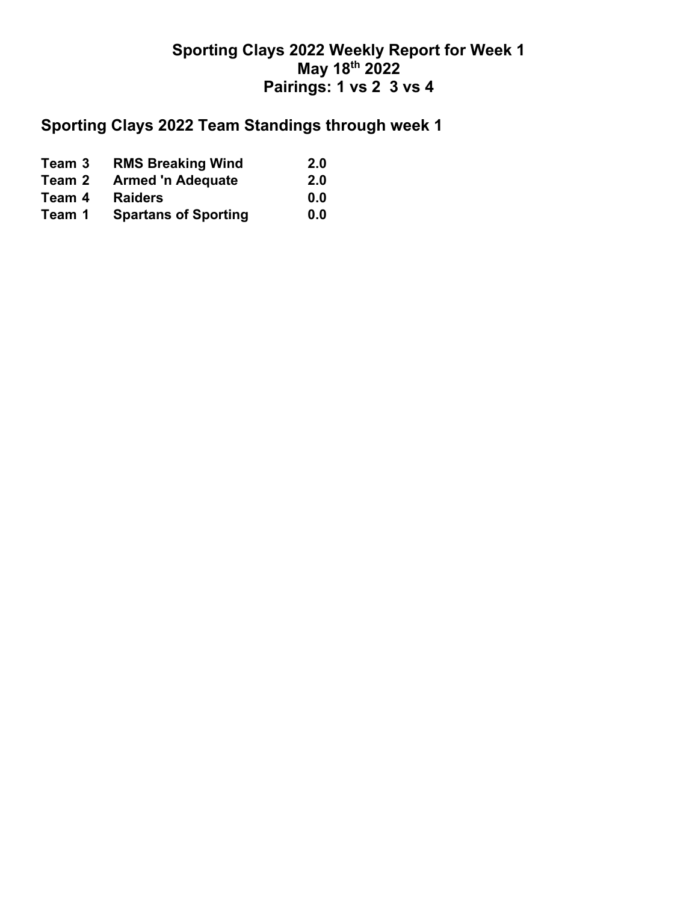## **Sporting Clays 2022 Weekly Report for Week 1 May 18th 2022 Pairings: 1 vs 2 3 vs 4**

# **Sporting Clays 2022 Team Standings through week 1**

| Team 3 | <b>RMS Breaking Wind</b>    | 2.0 |
|--------|-----------------------------|-----|
| Team 2 | <b>Armed 'n Adequate</b>    | 2.0 |
| Team 4 | <b>Raiders</b>              | 0.0 |
| Team 1 | <b>Spartans of Sporting</b> | 0.0 |